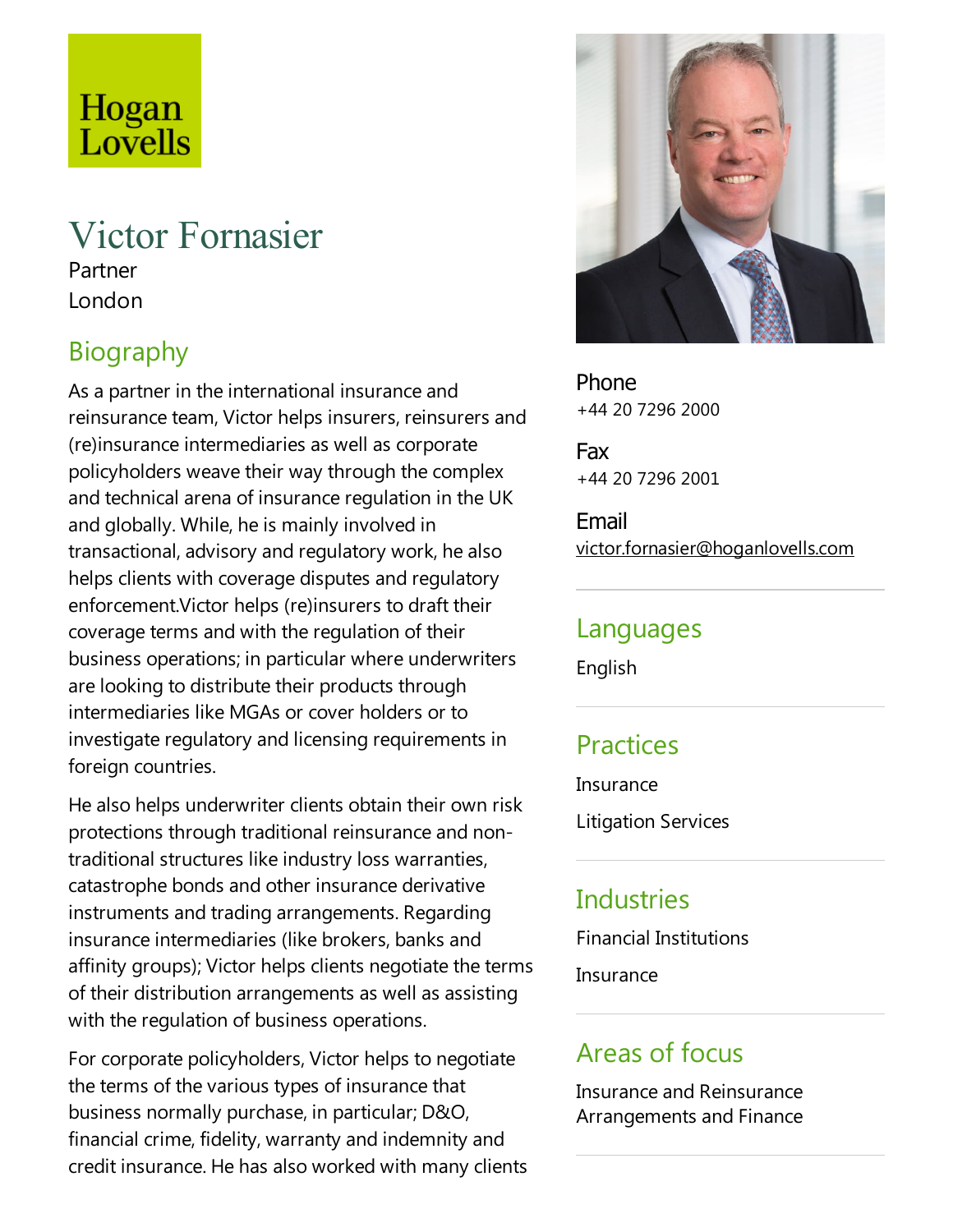# Hogan Lovells

## Victor Fornasier

Partner London

## Biography

As a partner in the international insurance and reinsurance team, Victor helps insurers, reinsurers and (re)insurance intermediaries as well as corporate policyholders weave their way through the complex and technical arena of insurance regulation in the UK and globally. While, he is mainly involved in transactional, advisory and regulatory work, he also helps clients with coverage disputes and regulatory enforcement.Victor helps (re)insurers to draft their coverage terms and with the regulation of their business operations; in particular where underwriters are looking to distribute their products through intermediaries like MGAs or cover holders or to investigate regulatory and licensing requirements in foreign countries.

He also helps underwriter clients obtain their own risk protections through traditional reinsurance and nontraditional structures like industry loss warranties, catastrophe bonds and other insurance derivative instruments and trading arrangements. Regarding insurance intermediaries (like brokers, banks and affinity groups); Victor helps clients negotiate the terms of their distribution arrangements as well as assisting with the regulation of business operations.

For corporate policyholders, Victor helps to negotiate the terms of the various types of insurance that business normally purchase, in particular; D&O, financial crime, fidelity, warranty and indemnity and credit insurance. He has also worked with many clients



Phone +44 20 7296 2000

Fax +44 20 7296 2001

Email victor.fornasier@hoganlovells.com

#### Languages

English

#### Practices

**Insurance** 

Litigation Services

## **Industries**

Financial Institutions

**Insurance** 

## Areas of focus

Insurance and Reinsurance Arrangements and Finance